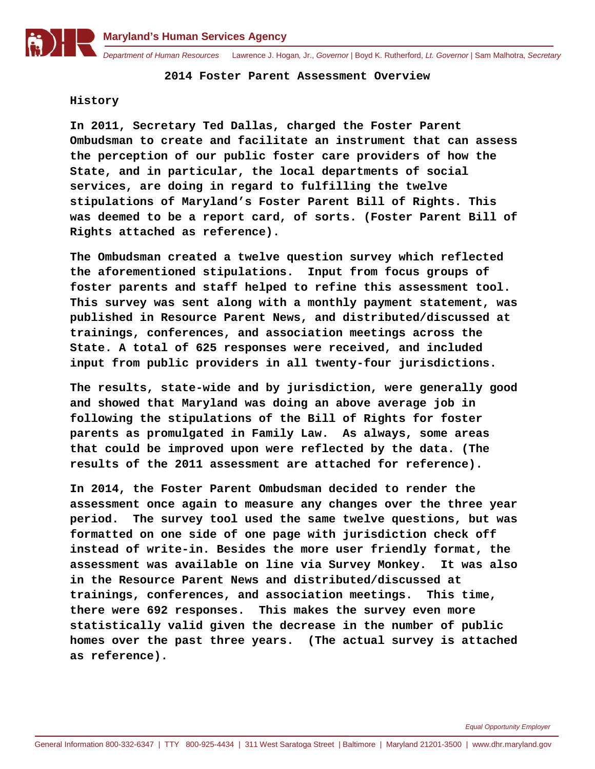

**2014 Foster Parent Assessment Overview**

## **History**

**In 2011, Secretary Ted Dallas, charged the Foster Parent Ombudsman to create and facilitate an instrument that can assess the perception of our public foster care providers of how the State, and in particular, the local departments of social services, are doing in regard to fulfilling the twelve stipulations of Maryland's Foster Parent Bill of Rights. This was deemed to be a report card, of sorts. (Foster Parent Bill of Rights attached as reference).**

**The Ombudsman created a twelve question survey which reflected the aforementioned stipulations. Input from focus groups of foster parents and staff helped to refine this assessment tool. This survey was sent along with a monthly payment statement, was published in Resource Parent News, and distributed/discussed at trainings, conferences, and association meetings across the State. A total of 625 responses were received, and included input from public providers in all twenty-four jurisdictions.**

**The results, state-wide and by jurisdiction, were generally good and showed that Maryland was doing an above average job in following the stipulations of the Bill of Rights for foster parents as promulgated in Family Law. As always, some areas that could be improved upon were reflected by the data. (The results of the 2011 assessment are attached for reference).**

**In 2014, the Foster Parent Ombudsman decided to render the assessment once again to measure any changes over the three year period. The survey tool used the same twelve questions, but was formatted on one side of one page with jurisdiction check off instead of write-in. Besides the more user friendly format, the assessment was available on line via Survey Monkey. It was also in the Resource Parent News and distributed/discussed at trainings, conferences, and association meetings. This time, there were 692 responses. This makes the survey even more statistically valid given the decrease in the number of public homes over the past three years. (The actual survey is attached as reference).**